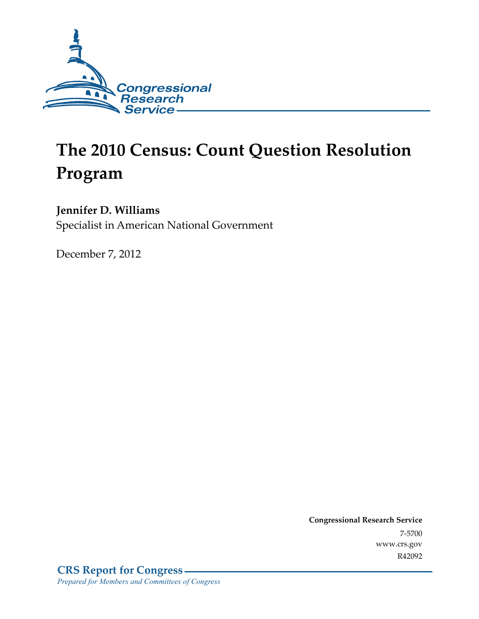

# **The 2010 Census: Count Question Resolution Program**

#### **Jennifer D. Williams**

Specialist in American National Government

December 7, 2012

**Congressional Research Service**  7-5700 www.crs.gov R42092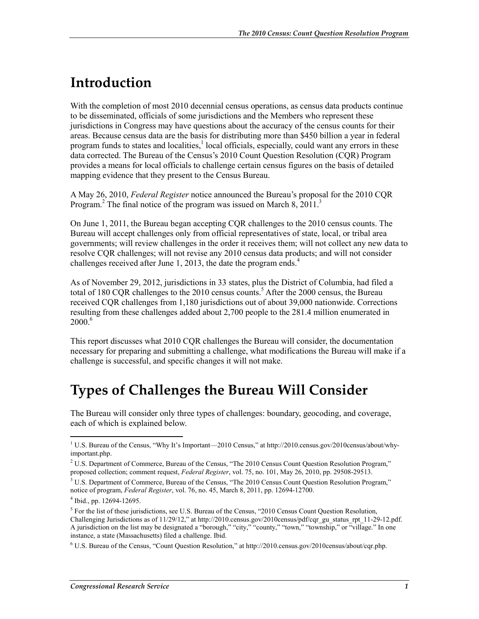### **Introduction**

With the completion of most 2010 decennial census operations, as census data products continue to be disseminated, officials of some jurisdictions and the Members who represent these jurisdictions in Congress may have questions about the accuracy of the census counts for their areas. Because census data are the basis for distributing more than \$450 billion a year in federal program funds to states and localities,<sup>1</sup> local officials, especially, could want any errors in these data corrected. The Bureau of the Census's 2010 Count Question Resolution (CQR) Program provides a means for local officials to challenge certain census figures on the basis of detailed mapping evidence that they present to the Census Bureau.

A May 26, 2010, *Federal Register* notice announced the Bureau's proposal for the 2010 CQR Program.<sup>2</sup> The final notice of the program was issued on March  $8, 2011$ .<sup>3</sup>

On June 1, 2011, the Bureau began accepting CQR challenges to the 2010 census counts. The Bureau will accept challenges only from official representatives of state, local, or tribal area governments; will review challenges in the order it receives them; will not collect any new data to resolve CQR challenges; will not revise any 2010 census data products; and will not consider challenges received after June 1, 2013, the date the program ends.<sup>4</sup>

As of November 29, 2012, jurisdictions in 33 states, plus the District of Columbia, had filed a total of 180 CQR challenges to the 2010 census counts.<sup>5</sup> After the 2000 census, the Bureau received CQR challenges from 1,180 jurisdictions out of about 39,000 nationwide. Corrections resulting from these challenges added about 2,700 people to the 281.4 million enumerated in 2000.6

This report discusses what 2010 CQR challenges the Bureau will consider, the documentation necessary for preparing and submitting a challenge, what modifications the Bureau will make if a challenge is successful, and specific changes it will not make.

#### **Types of Challenges the Bureau Will Consider**

The Bureau will consider only three types of challenges: boundary, geocoding, and coverage, each of which is explained below.

1

<sup>&</sup>lt;sup>1</sup> U.S. Bureau of the Census, "Why It's Important—2010 Census," at http://2010.census.gov/2010census/about/whyimportant.php.

<sup>&</sup>lt;sup>2</sup> U.S. Department of Commerce, Bureau of the Census, "The 2010 Census Count Question Resolution Program," proposed collection; comment request, *Federal Register*, vol. 75, no. 101, May 26, 2010, pp. 29508-29513.

<sup>&</sup>lt;sup>3</sup> U.S. Department of Commerce, Bureau of the Census, "The 2010 Census Count Question Resolution Program," notice of program, *Federal Register*, vol. 76, no. 45, March 8, 2011, pp. 12694-12700.

<sup>4</sup> Ibid., pp. 12694-12695.

<sup>&</sup>lt;sup>5</sup> For the list of these jurisdictions, see U.S. Bureau of the Census, "2010 Census Count Question Resolution, Challenging Jurisdictions as of 11/29/12," at http://2010.census.gov/2010census/pdf/cqr\_gu\_status\_rpt\_11-29-12.pdf. A jurisdiction on the list may be designated a "borough," "city," "county," "town," "township," or "village." In one instance, a state (Massachusetts) filed a challenge. Ibid.

<sup>6</sup> U.S. Bureau of the Census, "Count Question Resolution," at http://2010.census.gov/2010census/about/cqr.php.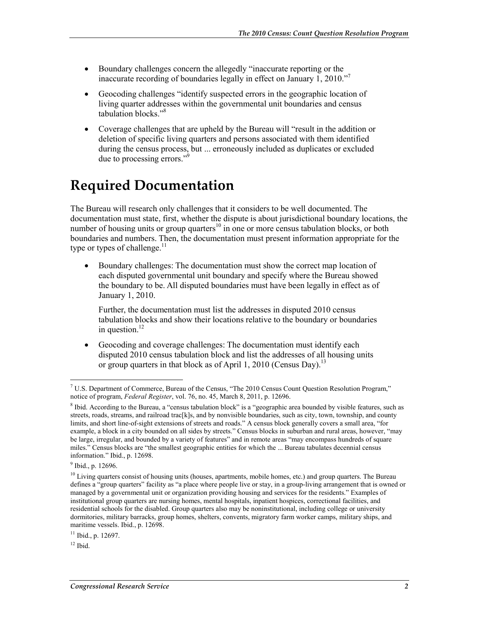- Boundary challenges concern the allegedly "inaccurate reporting or the inaccurate recording of boundaries legally in effect on January 1, 2010."7
- Geocoding challenges "identify suspected errors in the geographic location of living quarter addresses within the governmental unit boundaries and census tabulation blocks."8
- Coverage challenges that are upheld by the Bureau will "result in the addition or deletion of specific living quarters and persons associated with them identified during the census process, but ... erroneously included as duplicates or excluded due to processing errors."9

### **Required Documentation**

The Bureau will research only challenges that it considers to be well documented. The documentation must state, first, whether the dispute is about jurisdictional boundary locations, the number of housing units or group quarters<sup>10</sup> in one or more census tabulation blocks, or both boundaries and numbers. Then, the documentation must present information appropriate for the type or types of challenge. $11$ 

• Boundary challenges: The documentation must show the correct map location of each disputed governmental unit boundary and specify where the Bureau showed the boundary to be. All disputed boundaries must have been legally in effect as of January 1, 2010.

Further, the documentation must list the addresses in disputed 2010 census tabulation blocks and show their locations relative to the boundary or boundaries in question.<sup>12</sup>

• Geocoding and coverage challenges: The documentation must identify each disputed 2010 census tabulation block and list the addresses of all housing units or group quarters in that block as of April 1, 2010 (Census Day).<sup>13</sup>

<sup>&</sup>lt;u>.</u> <sup>7</sup> U.S. Department of Commerce, Bureau of the Census, "The 2010 Census Count Question Resolution Program," notice of program, *Federal Register*, vol. 76, no. 45, March 8, 2011, p. 12696.

<sup>&</sup>lt;sup>8</sup> Ibid. According to the Bureau, a "census tabulation block" is a "geographic area bounded by visible features, such as streets, roads, streams, and railroad trac[k]s, and by nonvisible boundaries, such as city, town, township, and county limits, and short line-of-sight extensions of streets and roads." A census block generally covers a small area, "for example, a block in a city bounded on all sides by streets." Census blocks in suburban and rural areas, however, "may be large, irregular, and bounded by a variety of features" and in remote areas "may encompass hundreds of square miles." Census blocks are "the smallest geographic entities for which the ... Bureau tabulates decennial census information." Ibid., p. 12698.

<sup>&</sup>lt;sup>9</sup> Ibid., p. 12696.

 $10$  Living quarters consist of housing units (houses, apartments, mobile homes, etc.) and group quarters. The Bureau defines a "group quarters" facility as "a place where people live or stay, in a group-living arrangement that is owned or managed by a governmental unit or organization providing housing and services for the residents." Examples of institutional group quarters are nursing homes, mental hospitals, inpatient hospices, correctional facilities, and residential schools for the disabled. Group quarters also may be noninstitutional, including college or university dormitories, military barracks, group homes, shelters, convents, migratory farm worker camps, military ships, and maritime vessels. Ibid., p. 12698.

 $11$  Ibid., p. 12697.

 $12$  Ibid.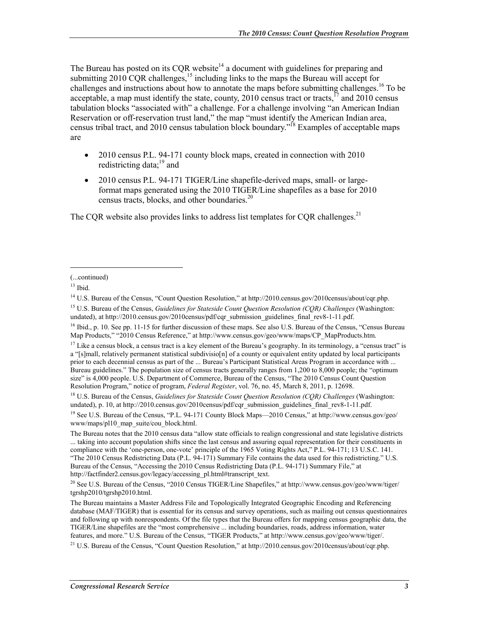The Bureau has posted on its CQR website<sup>14</sup> a document with guidelines for preparing and submitting  $2010$  CQR challenges,<sup>15</sup> including links to the maps the Bureau will accept for challenges and instructions about how to annotate the maps before submitting challenges.<sup>16</sup> To be acceptable, a map must identify the state, county, 2010 census tract or tracts,  $^{17}$  and 2010 census tabulation blocks "associated with" a challenge. For a challenge involving "an American Indian Reservation or off-reservation trust land," the map "must identify the American Indian area, census tribal tract, and 2010 census tabulation block boundary.<sup> $58$ </sup> Examples of acceptable maps are

- 2010 census P.L. 94-171 county block maps, created in connection with 2010 redistricting data; $^{19}$  and
- 2010 census P.L. 94-171 TIGER/Line shapefile-derived maps, small- or largeformat maps generated using the 2010 TIGER/Line shapefiles as a base for 2010 census tracts, blocks, and other boundaries.20

The CQR website also provides links to address list templates for CQR challenges.<sup>21</sup>

 $\overline{a}$ 

<sup>16</sup> Ibid., p. 10. See pp. 11-15 for further discussion of these maps. See also U.S. Bureau of the Census, "Census Bureau Map Products," "2010 Census Reference," at http://www.census.gov/geo/www/maps/CP\_MapProducts.htm.

<sup>(...</sup>continued)

 $13$  Ibid.

<sup>14</sup> U.S. Bureau of the Census, "Count Question Resolution," at http://2010.census.gov/2010census/about/cqr.php.

<sup>15</sup> U.S. Bureau of the Census, *Guidelines for Stateside Count Question Resolution (CQR) Challenges* (Washington: undated), at http://2010.census.gov/2010census/pdf/cqr\_submission\_guidelines\_final\_rev8-1-11.pdf.

 $17$  Like a census block, a census tract is a key element of the Bureau's geography. In its terminology, a "census tract" is a "[s]mall, relatively permanent statistical subdivisio[n] of a county or equivalent entity updated by local participants prior to each decennial census as part of the ... Bureau's Participant Statistical Areas Program in accordance with ... Bureau guidelines." The population size of census tracts generally ranges from 1,200 to 8,000 people; the "optimum size" is 4,000 people. U.S. Department of Commerce, Bureau of the Census, "The 2010 Census Count Question Resolution Program," notice of program, *Federal Register*, vol. 76, no. 45, March 8, 2011, p. 12698.

<sup>18</sup> U.S. Bureau of the Census, *Guidelines for Stateside Count Question Resolution (CQR) Challenges* (Washington: undated), p. 10, at http://2010.census.gov/2010census/pdf/cqr\_submission\_guidelines\_final\_rev8-1-11.pdf.

<sup>&</sup>lt;sup>19</sup> See U.S. Bureau of the Census, "P.L. 94-171 County Block Maps—2010 Census," at http://www.census.gov/geo/ www/maps/pl10\_map\_suite/cou\_block.html.

The Bureau notes that the 2010 census data "allow state officials to realign congressional and state legislative districts ... taking into account population shifts since the last census and assuring equal representation for their constituents in compliance with the 'one-person, one-vote' principle of the 1965 Voting Rights Act," P.L. 94-171; 13 U.S.C. 141. "The 2010 Census Redistricting Data (P.L. 94-171) Summary File contains the data used for this redistricting." U.S. Bureau of the Census, "Accessing the 2010 Census Redistricting Data (P.L. 94-171) Summary File," at http://factfinder2.census.gov/legacy/accessing\_pl.html#transcript\_text.

<sup>20</sup> See U.S. Bureau of the Census, "2010 Census TIGER/Line Shapefiles," at http://www.census.gov/geo/www/tiger/ tgrshp2010/tgrshp2010.html.

The Bureau maintains a Master Address File and Topologically Integrated Geographic Encoding and Referencing database (MAF/TIGER) that is essential for its census and survey operations, such as mailing out census questionnaires and following up with nonrespondents. Of the file types that the Bureau offers for mapping census geographic data, the TIGER/Line shapefiles are the "most comprehensive ... including boundaries, roads, address information, water features, and more." U.S. Bureau of the Census, "TIGER Products," at http://www.census.gov/geo/www/tiger/.

<sup>&</sup>lt;sup>21</sup> U.S. Bureau of the Census, "Count Question Resolution," at http://2010.census.gov/2010census/about/cqr.php.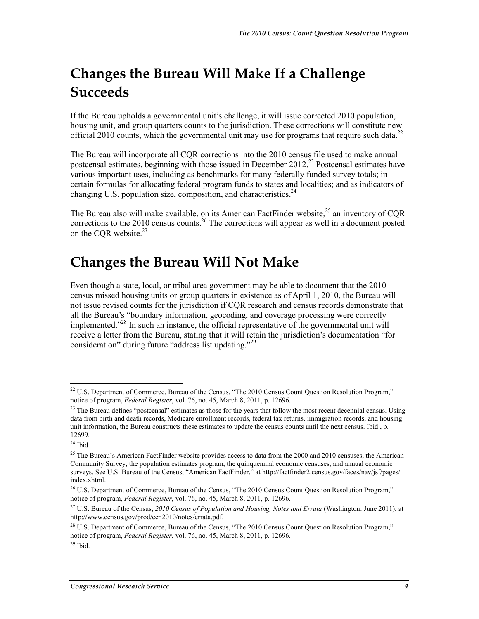## **Changes the Bureau Will Make If a Challenge Succeeds**

If the Bureau upholds a governmental unit's challenge, it will issue corrected 2010 population, housing unit, and group quarters counts to the jurisdiction. These corrections will constitute new official 2010 counts, which the governmental unit may use for programs that require such data.<sup>22</sup>

The Bureau will incorporate all CQR corrections into the 2010 census file used to make annual postcensal estimates, beginning with those issued in December  $2012<sup>23</sup>$  Postcensal estimates have various important uses, including as benchmarks for many federally funded survey totals; in certain formulas for allocating federal program funds to states and localities; and as indicators of changing U.S. population size, composition, and characteristics.<sup>24</sup>

The Bureau also will make available, on its American FactFinder website,<sup>25</sup> an inventory of COR corrections to the 2010 census counts.<sup>26</sup> The corrections will appear as well in a document posted on the COR website.<sup>27</sup>

#### **Changes the Bureau Will Not Make**

Even though a state, local, or tribal area government may be able to document that the 2010 census missed housing units or group quarters in existence as of April 1, 2010, the Bureau will not issue revised counts for the jurisdiction if CQR research and census records demonstrate that all the Bureau's "boundary information, geocoding, and coverage processing were correctly implemented."<sup>28</sup> In such an instance, the official representative of the governmental unit will receive a letter from the Bureau, stating that it will retain the jurisdiction's documentation "for consideration" during future "address list updating."<sup>29</sup>

 $^{24}$  Ibid.

1

<sup>&</sup>lt;sup>22</sup> U.S. Department of Commerce, Bureau of the Census, "The 2010 Census Count Question Resolution Program," notice of program, *Federal Register*, vol. 76, no. 45, March 8, 2011, p. 12696.

<sup>&</sup>lt;sup>23</sup> The Bureau defines "postcensal" estimates as those for the years that follow the most recent decennial census. Using data from birth and death records, Medicare enrollment records, federal tax returns, immigration records, and housing unit information, the Bureau constructs these estimates to update the census counts until the next census. Ibid., p. 12699.

 $25$  The Bureau's American FactFinder website provides access to data from the 2000 and 2010 censuses, the American Community Survey, the population estimates program, the quinquennial economic censuses, and annual economic surveys. See U.S. Bureau of the Census, "American FactFinder," at http://factfinder2.census.gov/faces/nav/jsf/pages/ index.xhtml.

<sup>&</sup>lt;sup>26</sup> U.S. Department of Commerce, Bureau of the Census, "The 2010 Census Count Question Resolution Program," notice of program, *Federal Register*, vol. 76, no. 45, March 8, 2011, p. 12696.

<sup>27</sup> U.S. Bureau of the Census, *2010 Census of Population and Housing, Notes and Errata* (Washington: June 2011), at http://www.census.gov/prod/cen2010/notes/errata.pdf.

<sup>&</sup>lt;sup>28</sup> U.S. Department of Commerce, Bureau of the Census, "The 2010 Census Count Question Resolution Program," notice of program, *Federal Register*, vol. 76, no. 45, March 8, 2011, p. 12696.

 $29$  Ibid.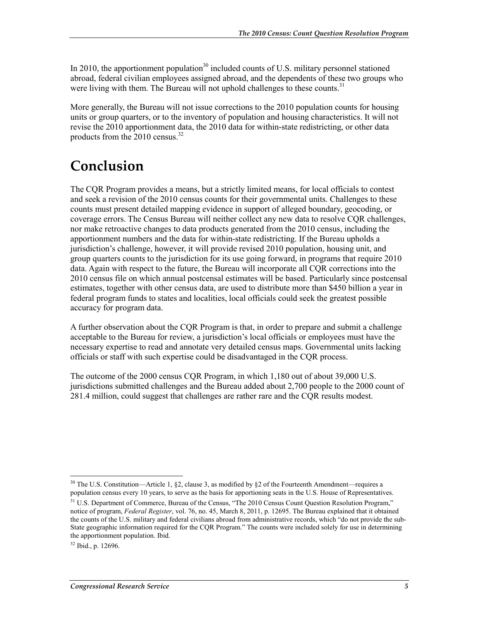In 2010, the apportionment population<sup>30</sup> included counts of U.S. military personnel stationed abroad, federal civilian employees assigned abroad, and the dependents of these two groups who were living with them. The Bureau will not uphold challenges to these counts.<sup>31</sup>

More generally, the Bureau will not issue corrections to the 2010 population counts for housing units or group quarters, or to the inventory of population and housing characteristics. It will not revise the 2010 apportionment data, the 2010 data for within-state redistricting, or other data products from the  $2010$  census.<sup>32</sup>

### **Conclusion**

The CQR Program provides a means, but a strictly limited means, for local officials to contest and seek a revision of the 2010 census counts for their governmental units. Challenges to these counts must present detailed mapping evidence in support of alleged boundary, geocoding, or coverage errors. The Census Bureau will neither collect any new data to resolve CQR challenges, nor make retroactive changes to data products generated from the 2010 census, including the apportionment numbers and the data for within-state redistricting. If the Bureau upholds a jurisdiction's challenge, however, it will provide revised 2010 population, housing unit, and group quarters counts to the jurisdiction for its use going forward, in programs that require 2010 data. Again with respect to the future, the Bureau will incorporate all CQR corrections into the 2010 census file on which annual postcensal estimates will be based. Particularly since postcensal estimates, together with other census data, are used to distribute more than \$450 billion a year in federal program funds to states and localities, local officials could seek the greatest possible accuracy for program data.

A further observation about the CQR Program is that, in order to prepare and submit a challenge acceptable to the Bureau for review, a jurisdiction's local officials or employees must have the necessary expertise to read and annotate very detailed census maps. Governmental units lacking officials or staff with such expertise could be disadvantaged in the CQR process.

The outcome of the 2000 census CQR Program, in which 1,180 out of about 39,000 U.S. jurisdictions submitted challenges and the Bureau added about 2,700 people to the 2000 count of 281.4 million, could suggest that challenges are rather rare and the CQR results modest.

<sup>1</sup> <sup>30</sup> The U.S. Constitution—Article 1, §2, clause 3, as modified by §2 of the Fourteenth Amendment—requires a population census every 10 years, to serve as the basis for apportioning seats in the U.S. House of Representatives.

<sup>&</sup>lt;sup>31</sup> U.S. Department of Commerce, Bureau of the Census, "The 2010 Census Count Question Resolution Program," notice of program, *Federal Register*, vol. 76, no. 45, March 8, 2011, p. 12695. The Bureau explained that it obtained the counts of the U.S. military and federal civilians abroad from administrative records, which "do not provide the sub-State geographic information required for the CQR Program." The counts were included solely for use in determining the apportionment population. Ibid.

<sup>32</sup> Ibid., p. 12696.